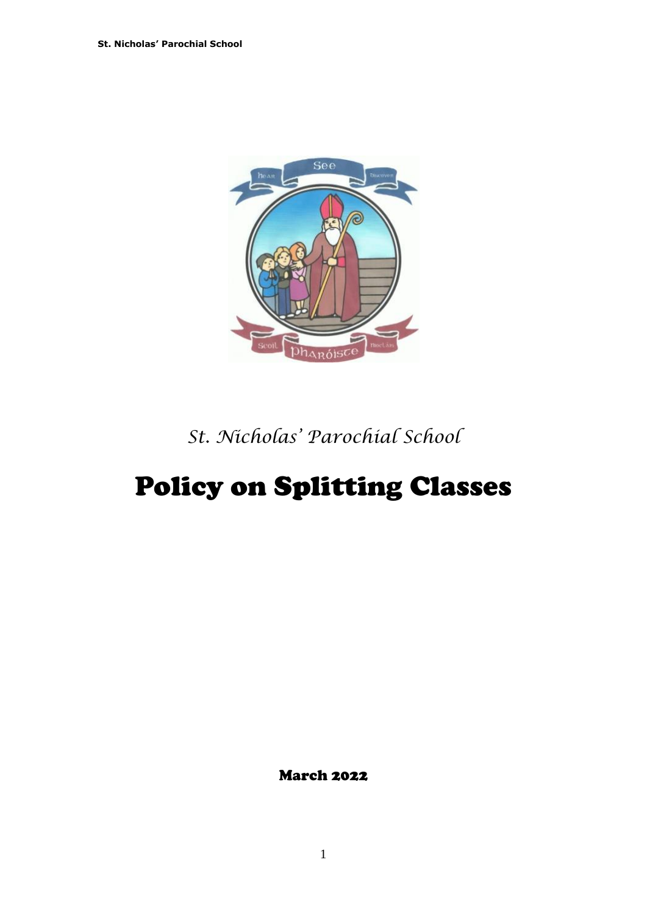

*St. Nicholas' Parochial School*

# Policy on Splitting Classes

March 2022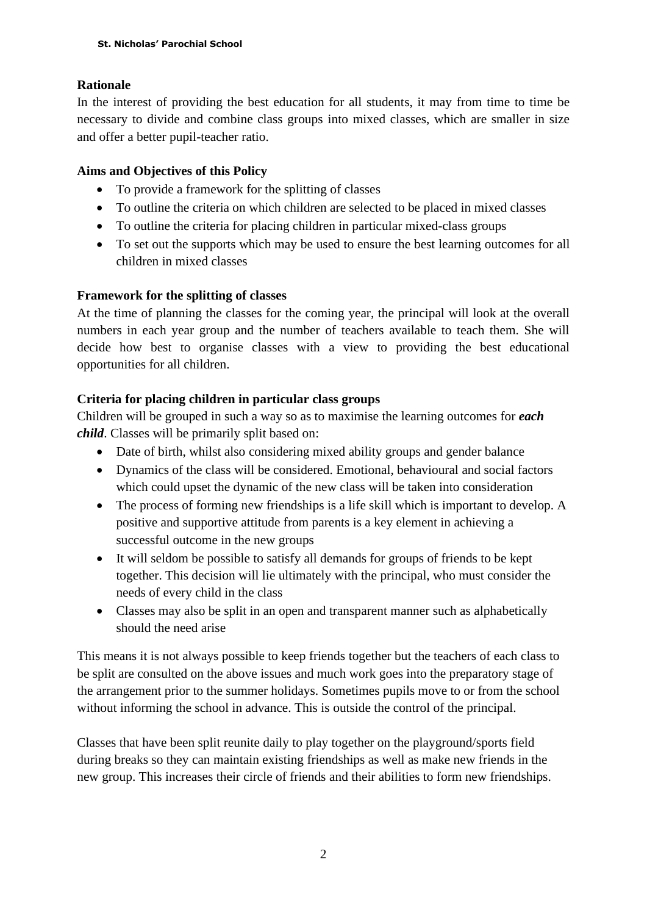## **Rationale**

In the interest of providing the best education for all students, it may from time to time be necessary to divide and combine class groups into mixed classes, which are smaller in size and offer a better pupil-teacher ratio.

### **Aims and Objectives of this Policy**

- To provide a framework for the splitting of classes
- To outline the criteria on which children are selected to be placed in mixed classes
- To outline the criteria for placing children in particular mixed-class groups
- To set out the supports which may be used to ensure the best learning outcomes for all children in mixed classes

## **Framework for the splitting of classes**

At the time of planning the classes for the coming year, the principal will look at the overall numbers in each year group and the number of teachers available to teach them. She will decide how best to organise classes with a view to providing the best educational opportunities for all children.

## **Criteria for placing children in particular class groups**

Children will be grouped in such a way so as to maximise the learning outcomes for *each child*. Classes will be primarily split based on:

- Date of birth, whilst also considering mixed ability groups and gender balance
- Dynamics of the class will be considered. Emotional, behavioural and social factors which could upset the dynamic of the new class will be taken into consideration
- The process of forming new friendships is a life skill which is important to develop. A positive and supportive attitude from parents is a key element in achieving a successful outcome in the new groups
- It will seldom be possible to satisfy all demands for groups of friends to be kept together. This decision will lie ultimately with the principal, who must consider the needs of every child in the class
- Classes may also be split in an open and transparent manner such as alphabetically should the need arise

This means it is not always possible to keep friends together but the teachers of each class to be split are consulted on the above issues and much work goes into the preparatory stage of the arrangement prior to the summer holidays. Sometimes pupils move to or from the school without informing the school in advance. This is outside the control of the principal.

Classes that have been split reunite daily to play together on the playground/sports field during breaks so they can maintain existing friendships as well as make new friends in the new group. This increases their circle of friends and their abilities to form new friendships.